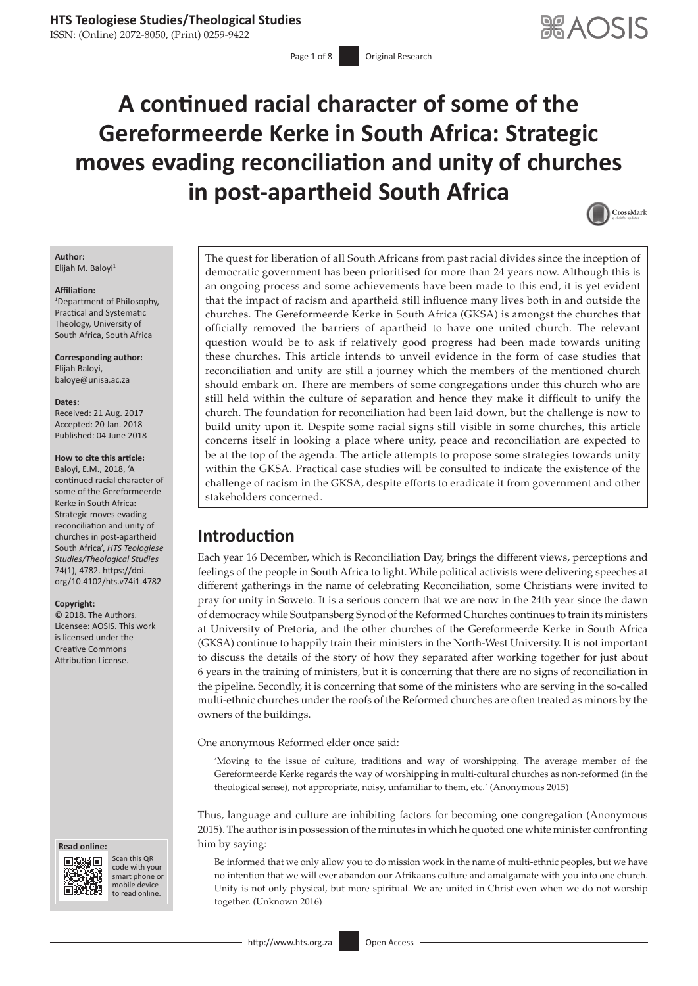Page 1 of 8 **Original Research** 

# **A continued racial character of some of the Gereformeerde Kerke in South Africa: Strategic moves evading reconciliation and unity of churches in post-apartheid South Africa**



### **Author:** Elijah M. Baloyi<sup>1</sup>

### **Affiliation:**

1 Department of Philosophy, Practical and Systematic Theology, University of South Africa, South Africa

**Corresponding author:** Elijah Baloyi, [baloye@unisa.ac.za](mailto:baloye@unisa.ac.za)

### **Dates:**

Received: 21 Aug. 2017 Accepted: 20 Jan. 2018 Published: 04 June 2018

### **How to cite this article:**

Baloyi, E.M., 2018, 'A continued racial character of some of the Gereformeerde Kerke in South Africa: Strategic moves evading reconciliation and unity of churches in post-apartheid South Africa', *HTS Teologiese Studies/Theological Studies* 74(1), 4782. [https://doi.](https://doi.org/10.4102/hts.v74i1.4782) [org/10.4102/hts.v74i1.4782](https://doi.org/10.4102/hts.v74i1.4782)

### **Copyright:**

© 2018. The Authors. Licensee: AOSIS. This work is licensed under the Creative Commons Attribution License.

#### **Read online: Read**



Scan this QR code with your Scan this QR<br>code with your<br>smart phone or<br>mobile device mobile device to read online. to read online.

The quest for liberation of all South Africans from past racial divides since the inception of democratic government has been prioritised for more than 24 years now. Although this is an ongoing process and some achievements have been made to this end, it is yet evident that the impact of racism and apartheid still influence many lives both in and outside the churches. The Gereformeerde Kerke in South Africa (GKSA) is amongst the churches that officially removed the barriers of apartheid to have one united church. The relevant question would be to ask if relatively good progress had been made towards uniting these churches. This article intends to unveil evidence in the form of case studies that reconciliation and unity are still a journey which the members of the mentioned church should embark on. There are members of some congregations under this church who are still held within the culture of separation and hence they make it difficult to unify the church. The foundation for reconciliation had been laid down, but the challenge is now to build unity upon it. Despite some racial signs still visible in some churches, this article concerns itself in looking a place where unity, peace and reconciliation are expected to be at the top of the agenda. The article attempts to propose some strategies towards unity within the GKSA. Practical case studies will be consulted to indicate the existence of the challenge of racism in the GKSA, despite efforts to eradicate it from government and other stakeholders concerned.

# **Introduction**

Each year 16 December, which is Reconciliation Day, brings the different views, perceptions and feelings of the people in South Africa to light. While political activists were delivering speeches at different gatherings in the name of celebrating Reconciliation, some Christians were invited to pray for unity in Soweto. It is a serious concern that we are now in the 24th year since the dawn of democracy while Soutpansberg Synod of the Reformed Churches continues to train its ministers at University of Pretoria, and the other churches of the Gereformeerde Kerke in South Africa (GKSA) continue to happily train their ministers in the North-West University. It is not important to discuss the details of the story of how they separated after working together for just about 6 years in the training of ministers, but it is concerning that there are no signs of reconciliation in the pipeline. Secondly, it is concerning that some of the ministers who are serving in the so-called multi-ethnic churches under the roofs of the Reformed churches are often treated as minors by the owners of the buildings.

One anonymous Reformed elder once said:

'Moving to the issue of culture, traditions and way of worshipping. The average member of the Gereformeerde Kerke regards the way of worshipping in multi-cultural churches as non-reformed (in the theological sense), not appropriate, noisy, unfamiliar to them, etc.' (Anonymous 2015)

Thus, language and culture are inhibiting factors for becoming one congregation (Anonymous 2015). The author is in possession of the minutes in which he quoted one white minister confronting him by saying:

Be informed that we only allow you to do mission work in the name of multi-ethnic peoples, but we have no intention that we will ever abandon our Afrikaans culture and amalgamate with you into one church. Unity is not only physical, but more spiritual. We are united in Christ even when we do not worship together. (Unknown 2016)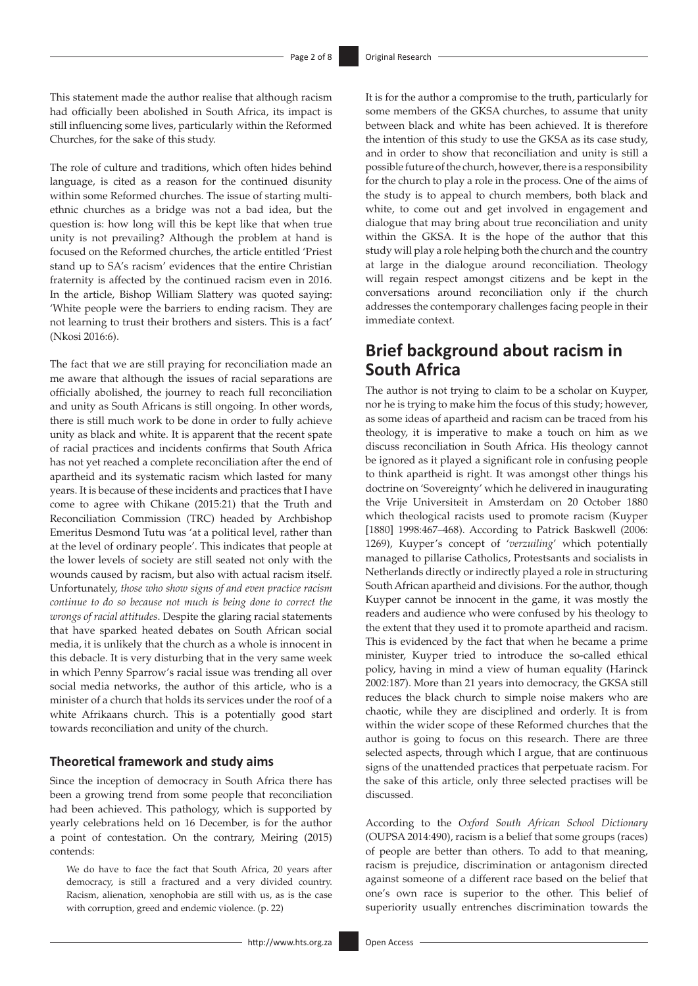This statement made the author realise that although racism had officially been abolished in South Africa, its impact is still influencing some lives, particularly within the Reformed Churches, for the sake of this study.

The role of culture and traditions, which often hides behind language, is cited as a reason for the continued disunity within some Reformed churches. The issue of starting multiethnic churches as a bridge was not a bad idea, but the question is: how long will this be kept like that when true unity is not prevailing? Although the problem at hand is focused on the Reformed churches, the article entitled 'Priest stand up to SA's racism' evidences that the entire Christian fraternity is affected by the continued racism even in 2016. In the article, Bishop William Slattery was quoted saying: 'White people were the barriers to ending racism. They are not learning to trust their brothers and sisters. This is a fact' (Nkosi 2016:6).

The fact that we are still praying for reconciliation made an me aware that although the issues of racial separations are officially abolished, the journey to reach full reconciliation and unity as South Africans is still ongoing. In other words, there is still much work to be done in order to fully achieve unity as black and white. It is apparent that the recent spate of racial practices and incidents confirms that South Africa has not yet reached a complete reconciliation after the end of apartheid and its systematic racism which lasted for many years. It is because of these incidents and practices that I have come to agree with Chikane (2015:21) that the Truth and Reconciliation Commission (TRC) headed by Archbishop Emeritus Desmond Tutu was 'at a political level, rather than at the level of ordinary people'. This indicates that people at the lower levels of society are still seated not only with the wounds caused by racism, but also with actual racism itself. Unfortunately, *those who show signs of and even practice racism continue to do so because not much is being done to correct the wrongs of racial attitudes*. Despite the glaring racial statements that have sparked heated debates on South African social media, it is unlikely that the church as a whole is innocent in this debacle. It is very disturbing that in the very same week in which Penny Sparrow's racial issue was trending all over social media networks, the author of this article, who is a minister of a church that holds its services under the roof of a white Afrikaans church. This is a potentially good start towards reconciliation and unity of the church.

### **Theoretical framework and study aims**

Since the inception of democracy in South Africa there has been a growing trend from some people that reconciliation had been achieved. This pathology, which is supported by yearly celebrations held on 16 December, is for the author a point of contestation. On the contrary, Meiring (2015) contends:

We do have to face the fact that South Africa, 20 years after democracy, is still a fractured and a very divided country. Racism, alienation, xenophobia are still with us, as is the case with corruption, greed and endemic violence. (p. 22)

It is for the author a compromise to the truth, particularly for some members of the GKSA churches, to assume that unity between black and white has been achieved. It is therefore the intention of this study to use the GKSA as its case study, and in order to show that reconciliation and unity is still a possible future of the church, however, there is a responsibility for the church to play a role in the process. One of the aims of the study is to appeal to church members, both black and white, to come out and get involved in engagement and dialogue that may bring about true reconciliation and unity within the GKSA. It is the hope of the author that this study will play a role helping both the church and the country at large in the dialogue around reconciliation. Theology will regain respect amongst citizens and be kept in the conversations around reconciliation only if the church addresses the contemporary challenges facing people in their immediate context.

# **Brief background about racism in South Africa**

The author is not trying to claim to be a scholar on Kuyper, nor he is trying to make him the focus of this study; however, as some ideas of apartheid and racism can be traced from his theology, it is imperative to make a touch on him as we discuss reconciliation in South Africa. His theology cannot be ignored as it played a significant role in confusing people to think apartheid is right. It was amongst other things his doctrine on 'Sovereignty' which he delivered in inaugurating the Vrije Universiteit in Amsterdam on 20 October 1880 which theological racists used to promote racism (Kuyper [1880] 1998:467–468). According to Patrick Baskwell (2006: 1269), Kuyper's concept of '*verzuiling*' which potentially managed to pillarise Catholics, Protestsants and socialists in Netherlands directly or indirectly played a role in structuring South African apartheid and divisions. For the author, though Kuyper cannot be innocent in the game, it was mostly the readers and audience who were confused by his theology to the extent that they used it to promote apartheid and racism. This is evidenced by the fact that when he became a prime minister, Kuyper tried to introduce the so-called ethical policy, having in mind a view of human equality (Harinck 2002:187). More than 21 years into democracy, the GKSA still reduces the black church to simple noise makers who are chaotic, while they are disciplined and orderly. It is from within the wider scope of these Reformed churches that the author is going to focus on this research. There are three selected aspects, through which I argue, that are continuous signs of the unattended practices that perpetuate racism. For the sake of this article, only three selected practises will be discussed.

According to the *Oxford South African School Dictionary* (OUPSA 2014:490), racism is a belief that some groups (races) of people are better than others. To add to that meaning, racism is prejudice, discrimination or antagonism directed against someone of a different race based on the belief that one's own race is superior to the other. This belief of superiority usually entrenches discrimination towards the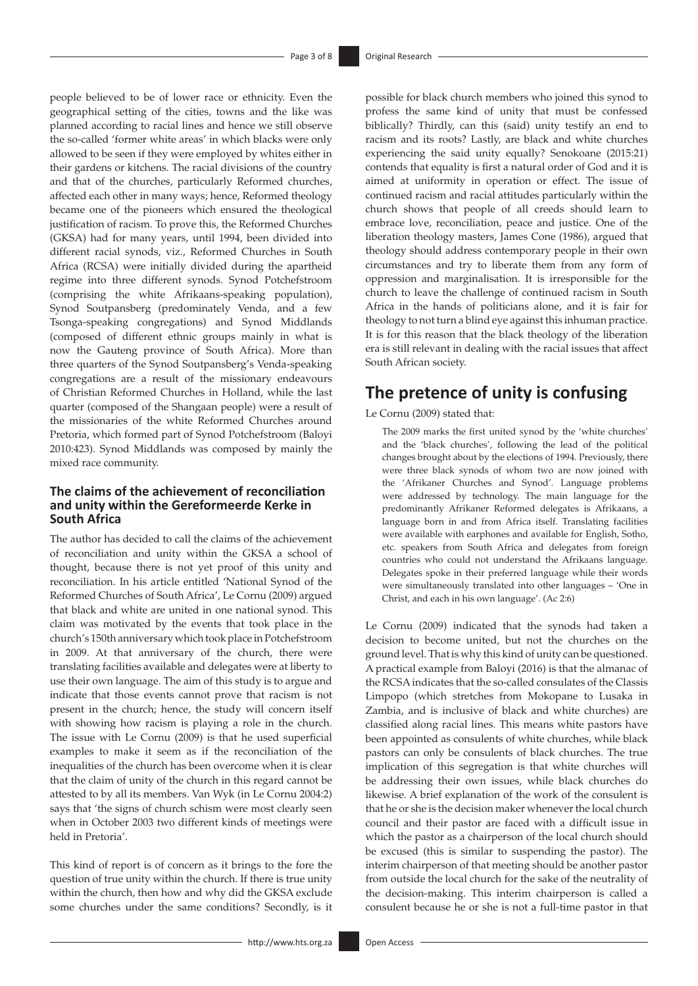people believed to be of lower race or ethnicity. Even the geographical setting of the cities, towns and the like was planned according to racial lines and hence we still observe the so-called 'former white areas' in which blacks were only allowed to be seen if they were employed by whites either in their gardens or kitchens. The racial divisions of the country and that of the churches, particularly Reformed churches, affected each other in many ways; hence, Reformed theology became one of the pioneers which ensured the theological justification of racism. To prove this, the Reformed Churches (GKSA) had for many years, until 1994, been divided into different racial synods, viz., Reformed Churches in South Africa (RCSA) were initially divided during the apartheid regime into three different synods. Synod Potchefstroom (comprising the white Afrikaans-speaking population), Synod Soutpansberg (predominately Venda, and a few Tsonga-speaking congregations) and Synod Middlands (composed of different ethnic groups mainly in what is now the Gauteng province of South Africa). More than three quarters of the Synod Soutpansberg's Venda-speaking congregations are a result of the missionary endeavours of Christian Reformed Churches in Holland, while the last quarter (composed of the Shangaan people) were a result of the missionaries of the white Reformed Churches around Pretoria, which formed part of Synod Potchefstroom (Baloyi 2010:423). Synod Middlands was composed by mainly the mixed race community.

### **The claims of the achievement of reconciliation and unity within the Gereformeerde Kerke in South Africa**

The author has decided to call the claims of the achievement of reconciliation and unity within the GKSA a school of thought, because there is not yet proof of this unity and reconciliation. In his article entitled 'National Synod of the Reformed Churches of South Africa', Le Cornu (2009) argued that black and white are united in one national synod. This claim was motivated by the events that took place in the church's 150th anniversary which took place in Potchefstroom in 2009. At that anniversary of the church, there were translating facilities available and delegates were at liberty to use their own language. The aim of this study is to argue and indicate that those events cannot prove that racism is not present in the church; hence, the study will concern itself with showing how racism is playing a role in the church. The issue with Le Cornu (2009) is that he used superficial examples to make it seem as if the reconciliation of the inequalities of the church has been overcome when it is clear that the claim of unity of the church in this regard cannot be attested to by all its members. Van Wyk (in Le Cornu 2004:2) says that 'the signs of church schism were most clearly seen when in October 2003 two different kinds of meetings were held in Pretoria'.

This kind of report is of concern as it brings to the fore the question of true unity within the church. If there is true unity within the church, then how and why did the GKSA exclude some churches under the same conditions? Secondly, is it possible for black church members who joined this synod to profess the same kind of unity that must be confessed biblically? Thirdly, can this (said) unity testify an end to racism and its roots? Lastly, are black and white churches experiencing the said unity equally? Senokoane (2015:21) contends that equality is first a natural order of God and it is aimed at uniformity in operation or effect. The issue of continued racism and racial attitudes particularly within the church shows that people of all creeds should learn to embrace love, reconciliation, peace and justice. One of the liberation theology masters, James Cone (1986), argued that theology should address contemporary people in their own circumstances and try to liberate them from any form of oppression and marginalisation. It is irresponsible for the church to leave the challenge of continued racism in South Africa in the hands of politicians alone, and it is fair for theology to not turn a blind eye against this inhuman practice. It is for this reason that the black theology of the liberation era is still relevant in dealing with the racial issues that affect South African society.

# **The pretence of unity is confusing**

### Le Cornu (2009) stated that:

The 2009 marks the first united synod by the 'white churches' and the 'black churches', following the lead of the political changes brought about by the elections of 1994. Previously, there were three black synods of whom two are now joined with the 'Afrikaner Churches and Synod'. Language problems were addressed by technology. The main language for the predominantly Afrikaner Reformed delegates is Afrikaans, a language born in and from Africa itself. Translating facilities were available with earphones and available for English, Sotho, etc. speakers from South Africa and delegates from foreign countries who could not understand the Afrikaans language. Delegates spoke in their preferred language while their words were simultaneously translated into other languages – 'One in Christ, and each in his own language'. (Ac 2:6)

Le Cornu (2009) indicated that the synods had taken a decision to become united, but not the churches on the ground level. That is why this kind of unity can be questioned. A practical example from Baloyi (2016) is that the almanac of the RCSA indicates that the so-called consulates of the Classis Limpopo (which stretches from Mokopane to Lusaka in Zambia, and is inclusive of black and white churches) are classified along racial lines. This means white pastors have been appointed as consulents of white churches, while black pastors can only be consulents of black churches. The true implication of this segregation is that white churches will be addressing their own issues, while black churches do likewise. A brief explanation of the work of the consulent is that he or she is the decision maker whenever the local church council and their pastor are faced with a difficult issue in which the pastor as a chairperson of the local church should be excused (this is similar to suspending the pastor). The interim chairperson of that meeting should be another pastor from outside the local church for the sake of the neutrality of the decision-making. This interim chairperson is called a consulent because he or she is not a full-time pastor in that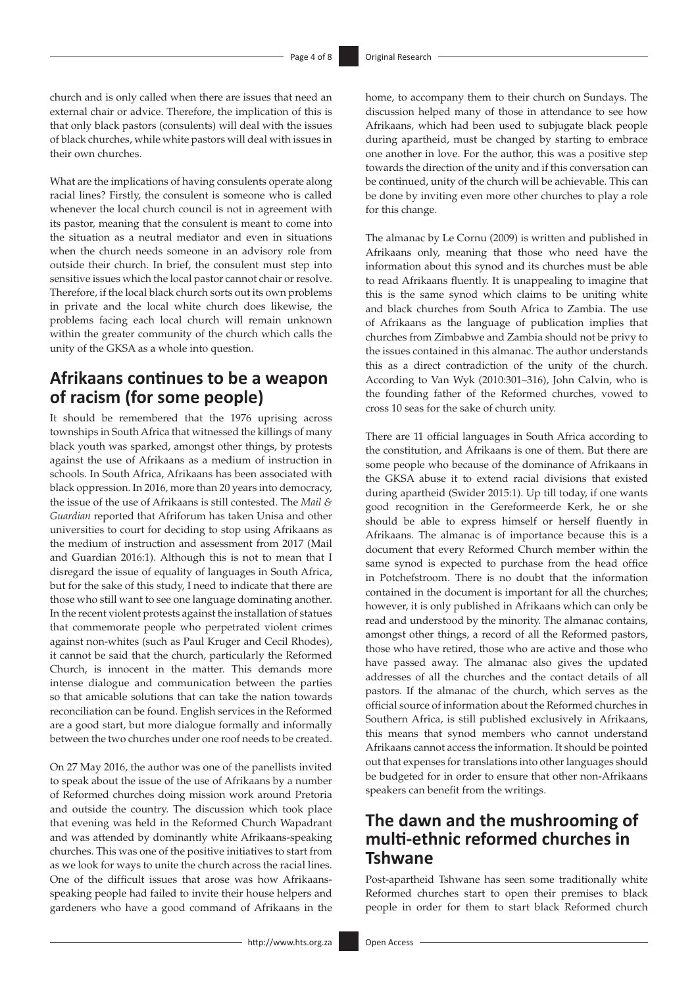church and is only called when there are issues that need an external chair or advice. Therefore, the implication of this is that only black pastors (consulents) will deal with the issues of black churches, while white pastors will deal with issues in their own churches.

What are the implications of having consulents operate along racial lines? Firstly, the consulent is someone who is called whenever the local church council is not in agreement with its pastor, meaning that the consulent is meant to come into the situation as a neutral mediator and even in situations when the church needs someone in an advisory role from outside their church. In brief, the consulent must step into sensitive issues which the local pastor cannot chair or resolve. Therefore, if the local black church sorts out its own problems in private and the local white church does likewise, the problems facing each local church will remain unknown within the greater community of the church which calls the unity of the GKSA as a whole into question.

# **Afrikaans continues to be a weapon of racism (for some people)**

It should be remembered that the 1976 uprising across townships in South Africa that witnessed the killings of many black youth was sparked, amongst other things, by protests against the use of Afrikaans as a medium of instruction in schools. In South Africa, Afrikaans has been associated with black oppression. In 2016, more than 20 years into democracy, the issue of the use of Afrikaans is still contested. The *Mail & Guardian* reported that Afriforum has taken Unisa and other universities to court for deciding to stop using Afrikaans as the medium of instruction and assessment from 2017 (Mail and Guardian 2016:1). Although this is not to mean that I disregard the issue of equality of languages in South Africa, but for the sake of this study, I need to indicate that there are those who still want to see one language dominating another. In the recent violent protests against the installation of statues that commemorate people who perpetrated violent crimes against non-whites (such as Paul Kruger and Cecil Rhodes), it cannot be said that the church, particularly the Reformed Church, is innocent in the matter. This demands more intense dialogue and communication between the parties so that amicable solutions that can take the nation towards reconciliation can be found. English services in the Reformed are a good start, but more dialogue formally and informally between the two churches under one roof needs to be created.

On 27 May 2016, the author was one of the panellists invited to speak about the issue of the use of Afrikaans by a number of Reformed churches doing mission work around Pretoria and outside the country. The discussion which took place that evening was held in the Reformed Church Wapadrant and was attended by dominantly white Afrikaans-speaking churches. This was one of the positive initiatives to start from as we look for ways to unite the church across the racial lines. One of the difficult issues that arose was how Afrikaansspeaking people had failed to invite their house helpers and gardeners who have a good command of Afrikaans in the

home, to accompany them to their church on Sundays. The discussion helped many of those in attendance to see how Afrikaans, which had been used to subjugate black people during apartheid, must be changed by starting to embrace one another in love. For the author, this was a positive step towards the direction of the unity and if this conversation can be continued, unity of the church will be achievable. This can be done by inviting even more other churches to play a role for this change.

The almanac by Le Cornu (2009) is written and published in Afrikaans only, meaning that those who need have the information about this synod and its churches must be able to read Afrikaans fluently. It is unappealing to imagine that this is the same synod which claims to be uniting white and black churches from South Africa to Zambia. The use of Afrikaans as the language of publication implies that churches from Zimbabwe and Zambia should not be privy to the issues contained in this almanac. The author understands this as a direct contradiction of the unity of the church. According to Van Wyk (2010:301–316), John Calvin, who is the founding father of the Reformed churches, vowed to cross 10 seas for the sake of church unity.

There are 11 official languages in South Africa according to the constitution, and Afrikaans is one of them. But there are some people who because of the dominance of Afrikaans in the GKSA abuse it to extend racial divisions that existed during apartheid (Swider 2015:1). Up till today, if one wants good recognition in the Gereformeerde Kerk, he or she should be able to express himself or herself fluently in Afrikaans. The almanac is of importance because this is a document that every Reformed Church member within the same synod is expected to purchase from the head office in Potchefstroom. There is no doubt that the information contained in the document is important for all the churches; however, it is only published in Afrikaans which can only be read and understood by the minority. The almanac contains, amongst other things, a record of all the Reformed pastors, those who have retired, those who are active and those who have passed away. The almanac also gives the updated addresses of all the churches and the contact details of all pastors. If the almanac of the church, which serves as the official source of information about the Reformed churches in Southern Africa, is still published exclusively in Afrikaans, this means that synod members who cannot understand Afrikaans cannot access the information. It should be pointed out that expenses for translations into other languages should be budgeted for in order to ensure that other non-Afrikaans speakers can benefit from the writings.

# **The dawn and the mushrooming of multi-ethnic reformed churches in Tshwane**

Post-apartheid Tshwane has seen some traditionally white Reformed churches start to open their premises to black people in order for them to start black Reformed church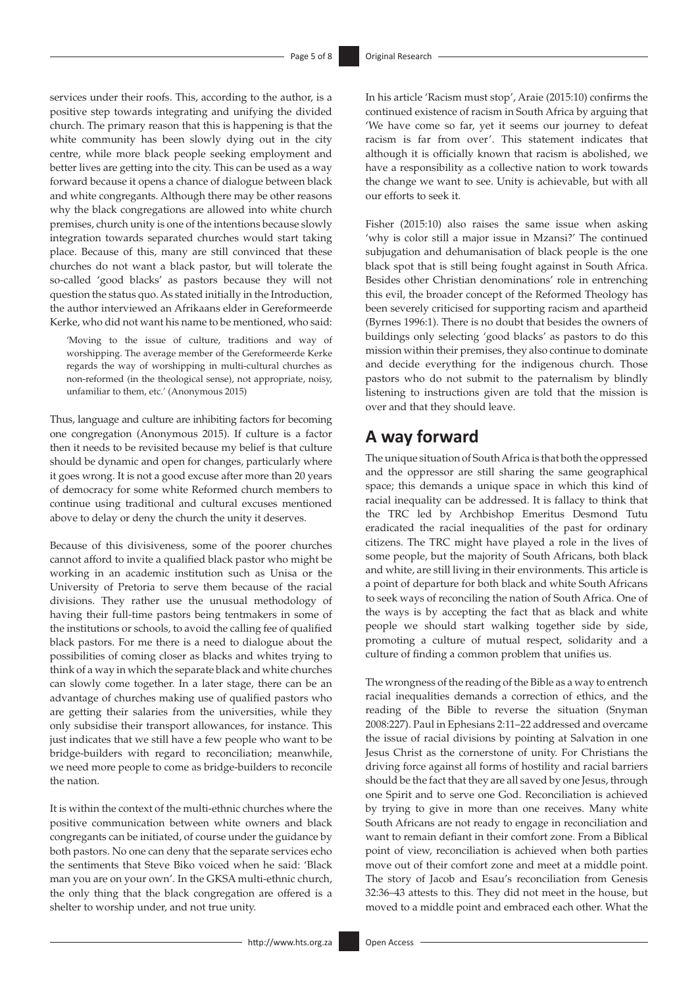services under their roofs. This, according to the author, is a positive step towards integrating and unifying the divided church. The primary reason that this is happening is that the white community has been slowly dying out in the city centre, while more black people seeking employment and better lives are getting into the city. This can be used as a way forward because it opens a chance of dialogue between black and white congregants. Although there may be other reasons why the black congregations are allowed into white church premises, church unity is one of the intentions because slowly integration towards separated churches would start taking place. Because of this, many are still convinced that these churches do not want a black pastor, but will tolerate the so-called 'good blacks' as pastors because they will not question the status quo. As stated initially in the Introduction, the author interviewed an Afrikaans elder in Gereformeerde Kerke, who did not want his name to be mentioned, who said:

'Moving to the issue of culture, traditions and way of worshipping. The average member of the Gereformeerde Kerke regards the way of worshipping in multi-cultural churches as non-reformed (in the theological sense), not appropriate, noisy, unfamiliar to them, etc.' (Anonymous 2015)

Thus, language and culture are inhibiting factors for becoming one congregation (Anonymous 2015). If culture is a factor then it needs to be revisited because my belief is that culture should be dynamic and open for changes, particularly where it goes wrong. It is not a good excuse after more than 20 years of democracy for some white Reformed church members to continue using traditional and cultural excuses mentioned above to delay or deny the church the unity it deserves.

Because of this divisiveness, some of the poorer churches cannot afford to invite a qualified black pastor who might be working in an academic institution such as Unisa or the University of Pretoria to serve them because of the racial divisions. They rather use the unusual methodology of having their full-time pastors being tentmakers in some of the institutions or schools, to avoid the calling fee of qualified black pastors. For me there is a need to dialogue about the possibilities of coming closer as blacks and whites trying to think of a way in which the separate black and white churches can slowly come together. In a later stage, there can be an advantage of churches making use of qualified pastors who are getting their salaries from the universities, while they only subsidise their transport allowances, for instance. This just indicates that we still have a few people who want to be bridge-builders with regard to reconciliation; meanwhile, we need more people to come as bridge-builders to reconcile the nation.

It is within the context of the multi-ethnic churches where the positive communication between white owners and black congregants can be initiated, of course under the guidance by both pastors. No one can deny that the separate services echo the sentiments that Steve Biko voiced when he said: 'Black man you are on your own'. In the GKSA multi-ethnic church, the only thing that the black congregation are offered is a shelter to worship under, and not true unity.

In his article 'Racism must stop', Araie (2015:10) confirms the continued existence of racism in South Africa by arguing that 'We have come so far, yet it seems our journey to defeat racism is far from over'. This statement indicates that although it is officially known that racism is abolished, we have a responsibility as a collective nation to work towards the change we want to see. Unity is achievable, but with all our efforts to seek it.

Fisher (2015:10) also raises the same issue when asking 'why is color still a major issue in Mzansi?' The continued subjugation and dehumanisation of black people is the one black spot that is still being fought against in South Africa. Besides other Christian denominations' role in entrenching this evil, the broader concept of the Reformed Theology has been severely criticised for supporting racism and apartheid (Byrnes 1996:1). There is no doubt that besides the owners of buildings only selecting 'good blacks' as pastors to do this mission within their premises, they also continue to dominate and decide everything for the indigenous church. Those pastors who do not submit to the paternalism by blindly listening to instructions given are told that the mission is over and that they should leave.

# **A way forward**

The unique situation of South Africa is that both the oppressed and the oppressor are still sharing the same geographical space; this demands a unique space in which this kind of racial inequality can be addressed. It is fallacy to think that the TRC led by Archbishop Emeritus Desmond Tutu eradicated the racial inequalities of the past for ordinary citizens. The TRC might have played a role in the lives of some people, but the majority of South Africans, both black and white, are still living in their environments. This article is a point of departure for both black and white South Africans to seek ways of reconciling the nation of South Africa. One of the ways is by accepting the fact that as black and white people we should start walking together side by side, promoting a culture of mutual respect, solidarity and a culture of finding a common problem that unifies us.

The wrongness of the reading of the Bible as a way to entrench racial inequalities demands a correction of ethics, and the reading of the Bible to reverse the situation (Snyman 2008:227). Paul in Ephesians 2:11–22 addressed and overcame the issue of racial divisions by pointing at Salvation in one Jesus Christ as the cornerstone of unity. For Christians the driving force against all forms of hostility and racial barriers should be the fact that they are all saved by one Jesus, through one Spirit and to serve one God. Reconciliation is achieved by trying to give in more than one receives. Many white South Africans are not ready to engage in reconciliation and want to remain defiant in their comfort zone. From a Biblical point of view, reconciliation is achieved when both parties move out of their comfort zone and meet at a middle point. The story of Jacob and Esau's reconciliation from Genesis 32:36–43 attests to this. They did not meet in the house, but moved to a middle point and embraced each other. What the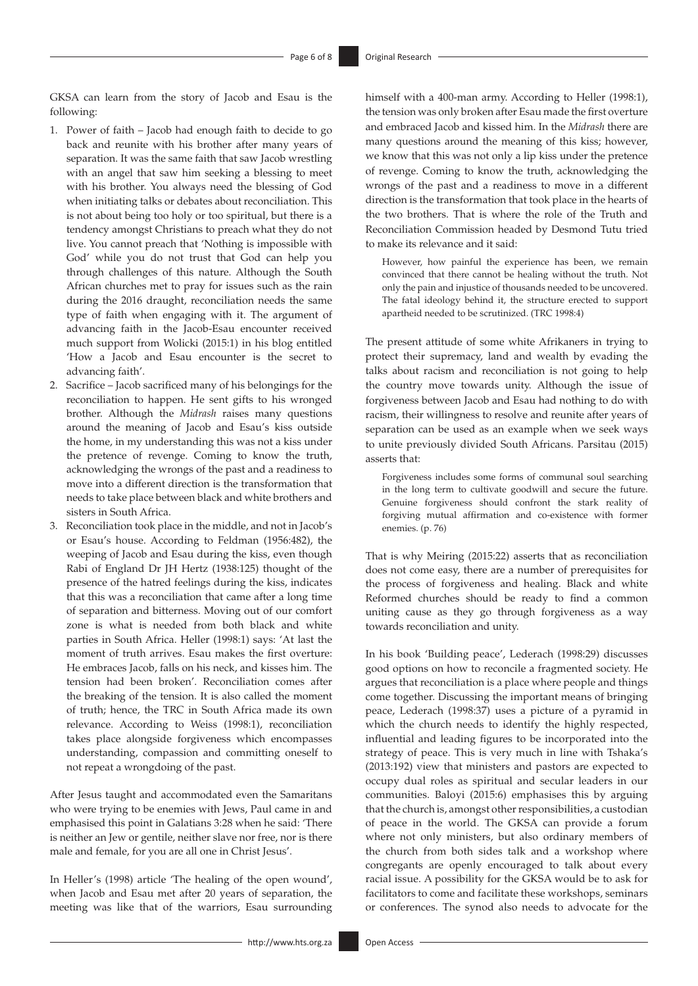GKSA can learn from the story of Jacob and Esau is the following:

- 1. Power of faith Jacob had enough faith to decide to go back and reunite with his brother after many years of separation. It was the same faith that saw Jacob wrestling with an angel that saw him seeking a blessing to meet with his brother. You always need the blessing of God when initiating talks or debates about reconciliation. This is not about being too holy or too spiritual, but there is a tendency amongst Christians to preach what they do not live. You cannot preach that 'Nothing is impossible with God' while you do not trust that God can help you through challenges of this nature. Although the South African churches met to pray for issues such as the rain during the 2016 draught, reconciliation needs the same type of faith when engaging with it. The argument of advancing faith in the Jacob-Esau encounter received much support from Wolicki (2015:1) in his blog entitled 'How a Jacob and Esau encounter is the secret to advancing faith'.
- 2. Sacrifice Jacob sacrificed many of his belongings for the reconciliation to happen. He sent gifts to his wronged brother. Although the *Midrash* raises many questions around the meaning of Jacob and Esau's kiss outside the home, in my understanding this was not a kiss under the pretence of revenge. Coming to know the truth, acknowledging the wrongs of the past and a readiness to move into a different direction is the transformation that needs to take place between black and white brothers and sisters in South Africa.
- 3. Reconciliation took place in the middle, and not in Jacob's or Esau's house. According to Feldman (1956:482), the weeping of Jacob and Esau during the kiss, even though Rabi of England Dr JH Hertz (1938:125) thought of the presence of the hatred feelings during the kiss, indicates that this was a reconciliation that came after a long time of separation and bitterness. Moving out of our comfort zone is what is needed from both black and white parties in South Africa. Heller (1998:1) says: 'At last the moment of truth arrives. Esau makes the first overture: He embraces Jacob, falls on his neck, and kisses him. The tension had been broken'. Reconciliation comes after the breaking of the tension. It is also called the moment of truth; hence, the TRC in South Africa made its own relevance. According to Weiss (1998:1), reconciliation takes place alongside forgiveness which encompasses understanding, compassion and committing oneself to not repeat a wrongdoing of the past.

After Jesus taught and accommodated even the Samaritans who were trying to be enemies with Jews, Paul came in and emphasised this point in Galatians 3:28 when he said: 'There is neither an Jew or gentile, neither slave nor free, nor is there male and female, for you are all one in Christ Jesus'.

In Heller's (1998) article 'The healing of the open wound', when Jacob and Esau met after 20 years of separation, the meeting was like that of the warriors, Esau surrounding

himself with a 400-man army. According to Heller (1998:1), the tension was only broken after Esau made the first overture and embraced Jacob and kissed him. In the *Midrash* there are many questions around the meaning of this kiss; however, we know that this was not only a lip kiss under the pretence of revenge. Coming to know the truth, acknowledging the wrongs of the past and a readiness to move in a different direction is the transformation that took place in the hearts of the two brothers. That is where the role of the Truth and Reconciliation Commission headed by Desmond Tutu tried to make its relevance and it said:

However, how painful the experience has been, we remain convinced that there cannot be healing without the truth. Not only the pain and injustice of thousands needed to be uncovered. The fatal ideology behind it, the structure erected to support apartheid needed to be scrutinized. (TRC 1998:4)

The present attitude of some white Afrikaners in trying to protect their supremacy, land and wealth by evading the talks about racism and reconciliation is not going to help the country move towards unity. Although the issue of forgiveness between Jacob and Esau had nothing to do with racism, their willingness to resolve and reunite after years of separation can be used as an example when we seek ways to unite previously divided South Africans. Parsitau (2015) asserts that:

Forgiveness includes some forms of communal soul searching in the long term to cultivate goodwill and secure the future. Genuine forgiveness should confront the stark reality of forgiving mutual affirmation and co-existence with former enemies. (p. 76)

That is why Meiring (2015:22) asserts that as reconciliation does not come easy, there are a number of prerequisites for the process of forgiveness and healing. Black and white Reformed churches should be ready to find a common uniting cause as they go through forgiveness as a way towards reconciliation and unity.

In his book 'Building peace', Lederach (1998:29) discusses good options on how to reconcile a fragmented society. He argues that reconciliation is a place where people and things come together. Discussing the important means of bringing peace, Lederach (1998:37) uses a picture of a pyramid in which the church needs to identify the highly respected, influential and leading figures to be incorporated into the strategy of peace. This is very much in line with Tshaka's (2013:192) view that ministers and pastors are expected to occupy dual roles as spiritual and secular leaders in our communities. Baloyi (2015:6) emphasises this by arguing that the church is, amongst other responsibilities, a custodian of peace in the world. The GKSA can provide a forum where not only ministers, but also ordinary members of the church from both sides talk and a workshop where congregants are openly encouraged to talk about every racial issue. A possibility for the GKSA would be to ask for facilitators to come and facilitate these workshops, seminars or conferences. The synod also needs to advocate for the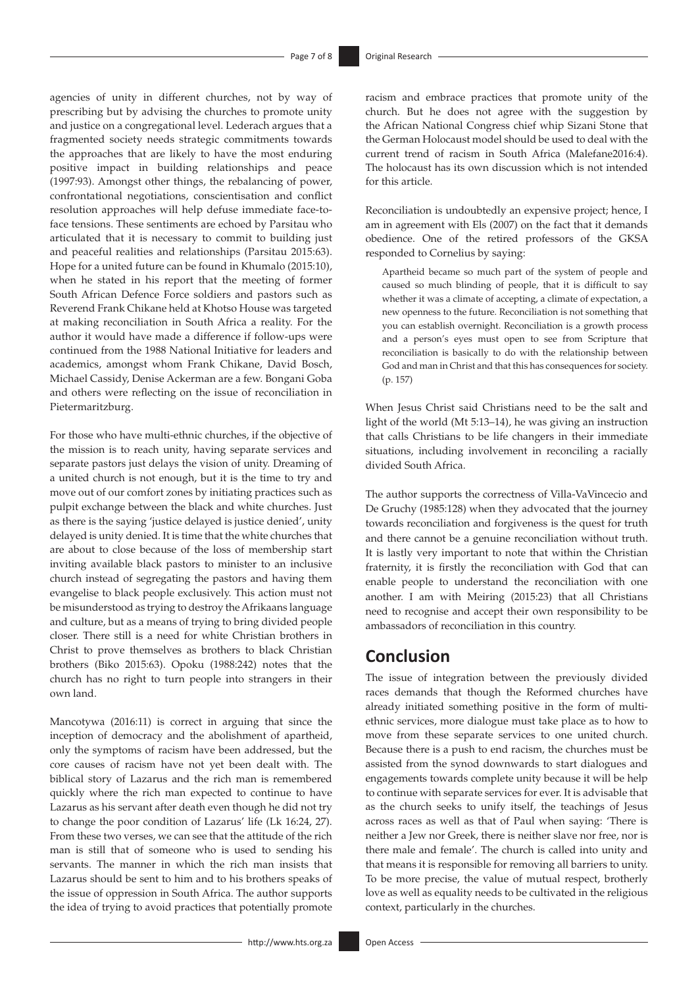agencies of unity in different churches, not by way of prescribing but by advising the churches to promote unity and justice on a congregational level. Lederach argues that a fragmented society needs strategic commitments towards the approaches that are likely to have the most enduring positive impact in building relationships and peace (1997:93). Amongst other things, the rebalancing of power, confrontational negotiations, conscientisation and conflict resolution approaches will help defuse immediate face-toface tensions. These sentiments are echoed by Parsitau who articulated that it is necessary to commit to building just and peaceful realities and relationships (Parsitau 2015:63). Hope for a united future can be found in Khumalo (2015:10), when he stated in his report that the meeting of former South African Defence Force soldiers and pastors such as Reverend Frank Chikane held at Khotso House was targeted at making reconciliation in South Africa a reality. For the author it would have made a difference if follow-ups were continued from the 1988 National Initiative for leaders and academics, amongst whom Frank Chikane, David Bosch, Michael Cassidy, Denise Ackerman are a few. Bongani Goba and others were reflecting on the issue of reconciliation in Pietermaritzburg.

For those who have multi-ethnic churches, if the objective of the mission is to reach unity, having separate services and separate pastors just delays the vision of unity. Dreaming of a united church is not enough, but it is the time to try and move out of our comfort zones by initiating practices such as pulpit exchange between the black and white churches. Just as there is the saying 'justice delayed is justice denied', unity delayed is unity denied. It is time that the white churches that are about to close because of the loss of membership start inviting available black pastors to minister to an inclusive church instead of segregating the pastors and having them evangelise to black people exclusively. This action must not be misunderstood as trying to destroy the Afrikaans language and culture, but as a means of trying to bring divided people closer. There still is a need for white Christian brothers in Christ to prove themselves as brothers to black Christian brothers (Biko 2015:63). Opoku (1988:242) notes that the church has no right to turn people into strangers in their own land.

Mancotywa (2016:11) is correct in arguing that since the inception of democracy and the abolishment of apartheid, only the symptoms of racism have been addressed, but the core causes of racism have not yet been dealt with. The biblical story of Lazarus and the rich man is remembered quickly where the rich man expected to continue to have Lazarus as his servant after death even though he did not try to change the poor condition of Lazarus' life (Lk 16:24, 27). From these two verses, we can see that the attitude of the rich man is still that of someone who is used to sending his servants. The manner in which the rich man insists that Lazarus should be sent to him and to his brothers speaks of the issue of oppression in South Africa. The author supports the idea of trying to avoid practices that potentially promote racism and embrace practices that promote unity of the church. But he does not agree with the suggestion by the African National Congress chief whip Sizani Stone that the German Holocaust model should be used to deal with the current trend of racism in South Africa (Malefane2016:4). The holocaust has its own discussion which is not intended for this article.

Reconciliation is undoubtedly an expensive project; hence, I am in agreement with Els (2007) on the fact that it demands obedience. One of the retired professors of the GKSA responded to Cornelius by saying:

Apartheid became so much part of the system of people and caused so much blinding of people, that it is difficult to say whether it was a climate of accepting, a climate of expectation, a new openness to the future. Reconciliation is not something that you can establish overnight. Reconciliation is a growth process and a person's eyes must open to see from Scripture that reconciliation is basically to do with the relationship between God and man in Christ and that this has consequences for society. (p. 157)

When Jesus Christ said Christians need to be the salt and light of the world (Mt 5:13–14), he was giving an instruction that calls Christians to be life changers in their immediate situations, including involvement in reconciling a racially divided South Africa.

The author supports the correctness of Villa-VaVincecio and De Gruchy (1985:128) when they advocated that the journey towards reconciliation and forgiveness is the quest for truth and there cannot be a genuine reconciliation without truth. It is lastly very important to note that within the Christian fraternity, it is firstly the reconciliation with God that can enable people to understand the reconciliation with one another. I am with Meiring (2015:23) that all Christians need to recognise and accept their own responsibility to be ambassadors of reconciliation in this country.

### **Conclusion**

The issue of integration between the previously divided races demands that though the Reformed churches have already initiated something positive in the form of multiethnic services, more dialogue must take place as to how to move from these separate services to one united church. Because there is a push to end racism, the churches must be assisted from the synod downwards to start dialogues and engagements towards complete unity because it will be help to continue with separate services for ever. It is advisable that as the church seeks to unify itself, the teachings of Jesus across races as well as that of Paul when saying: 'There is neither a Jew nor Greek, there is neither slave nor free, nor is there male and female'. The church is called into unity and that means it is responsible for removing all barriers to unity. To be more precise, the value of mutual respect, brotherly love as well as equality needs to be cultivated in the religious context, particularly in the churches.